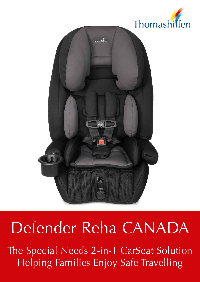



# Defender Reha CANADA

The Special Needs 2-in-1 CarSeat Solution Helping Families Enjoy Safe Travelling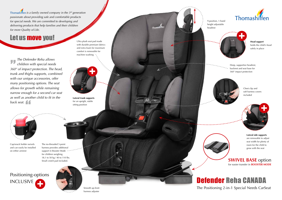+





*The Defender Reha allows*  " *children with special needs 360° of impact protection. The head, trunk and thighs supports, combined with our unique accessories, offer many positioning options. The seat allows for growth while remaining narrow enough for a second car seat as well as another child to fit in the back seat.*

## Defender Reha CANADA The Positioning 2-in-1 Special Needs CarSeat

### + Positioning-options INCLUSIVE





Cup/snack holder swivels and can easily be installed on either armrest

Chest clip and soft harness covers included

Ultra plush seat pad made with durable premium fabrics and extra foam for maximum comfort is removable for machine washing

### Small crotch pad included. **SWIVEL BASE** option for easier transfer in **BOOSTER MODE**

9-position, 1-hand height adjustable headrest



Deep, supportive headrest, backrest and seat base for 360° impact protection



**Head support**  holds the child's head safely in place

**Lateral trunk supports**  for an upright, stable sitting position

> **Lateral side supports**  are removable to adjust seat width for plenty of room for the child to grow with the seat







The no-threaded 5-point harness provides additional support in Booster Mode • for children weighing 18,1 to 50 kg / 40 to 110 lbs.

 *is a family owned company in the 3rd generation passionate about providing safe and comfortable products for special needs. We are committed to developing and delivering products that help families and their children for more Quality of Life.*

# Let us move you!